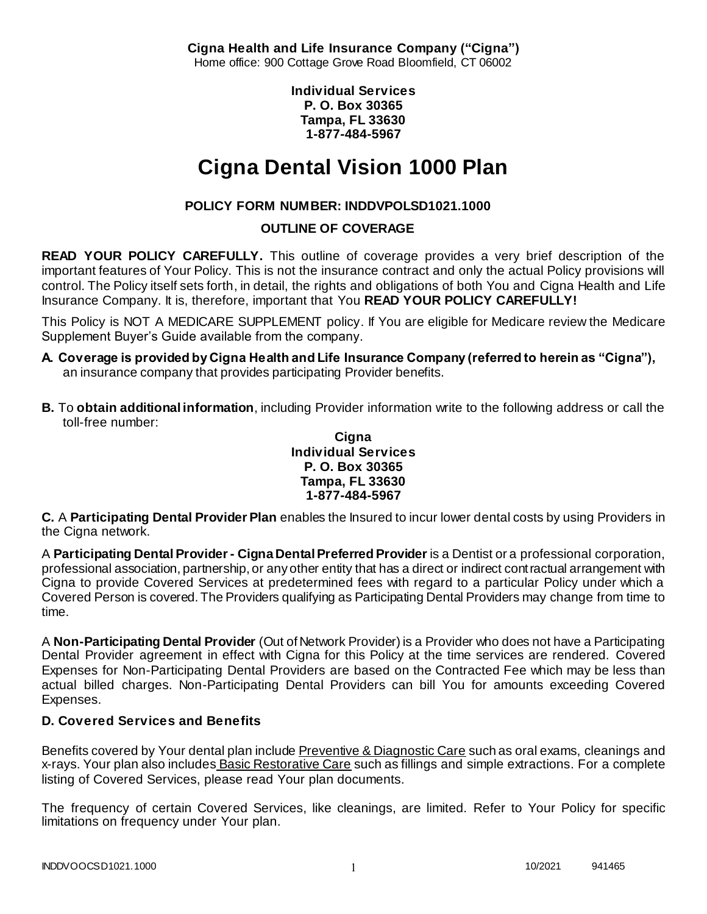**Cigna Health and Life Insurance Company ("Cigna")** Home office: 900 Cottage Grove Road Bloomfield, CT 06002

> **Individual Services P. O. Box 30365 Tampa, FL 33630 1-877-484-5967**

# **Cigna Dental Vision 1000 Plan**

# **POLICY FORM NUMBER: INDDVPOLSD1021.1000**

# **OUTLINE OF COVERAGE**

**READ YOUR POLICY CAREFULLY.** This outline of coverage provides a very brief description of the important features of Your Policy. This is not the insurance contract and only the actual Policy provisions will control. The Policy itself sets forth, in detail, the rights and obligations of both You and Cigna Health and Life Insurance Company. It is, therefore, important that You **READ YOUR POLICY CAREFULLY!** 

This Policy is NOT A MEDICARE SUPPLEMENT policy. If You are eligible for Medicare review the Medicare Supplement Buyer's Guide available from the company.

- **A. Coverage is provided by Cigna Health and Life Insurance Company (referred to herein as "Cigna"),**  an insurance company that provides participating Provider benefits.
- **B.** To **obtain additional information**, including Provider information write to the following address or call the toll-free number:

### **Cigna Individual Services P. O. Box 30365 Tampa, FL 33630 1-877-484-5967**

**C.** A **Participating Dental Provider Plan** enables the Insured to incur lower dental costs by using Providers in the Cigna network.

A **Participating Dental Provider - Cigna Dental Preferred Provider** is a Dentist or a professional corporation, professional association, partnership, or any other entity that has a direct or indirect contractual arrangement with Cigna to provide Covered Services at predetermined fees with regard to a particular Policy under which a Covered Person is covered. The Providers qualifying as Participating Dental Providers may change from time to time.

A **Non-Participating Dental Provider** (Out of Network Provider) is a Provider who does not have a Participating Dental Provider agreement in effect with Cigna for this Policy at the time services are rendered. Covered Expenses for Non-Participating Dental Providers are based on the Contracted Fee which may be less than actual billed charges. Non-Participating Dental Providers can bill You for amounts exceeding Covered Expenses.

# **D. Covered Services and Benefits**

Benefits covered by Your dental plan include Preventive & Diagnostic Care such as oral exams, cleanings and x-rays. Your plan also includes Basic Restorative Care such as fillings and simple extractions. For a complete listing of Covered Services, please read Your plan documents.

The frequency of certain Covered Services, like cleanings, are limited. Refer to Your Policy for specific limitations on frequency under Your plan.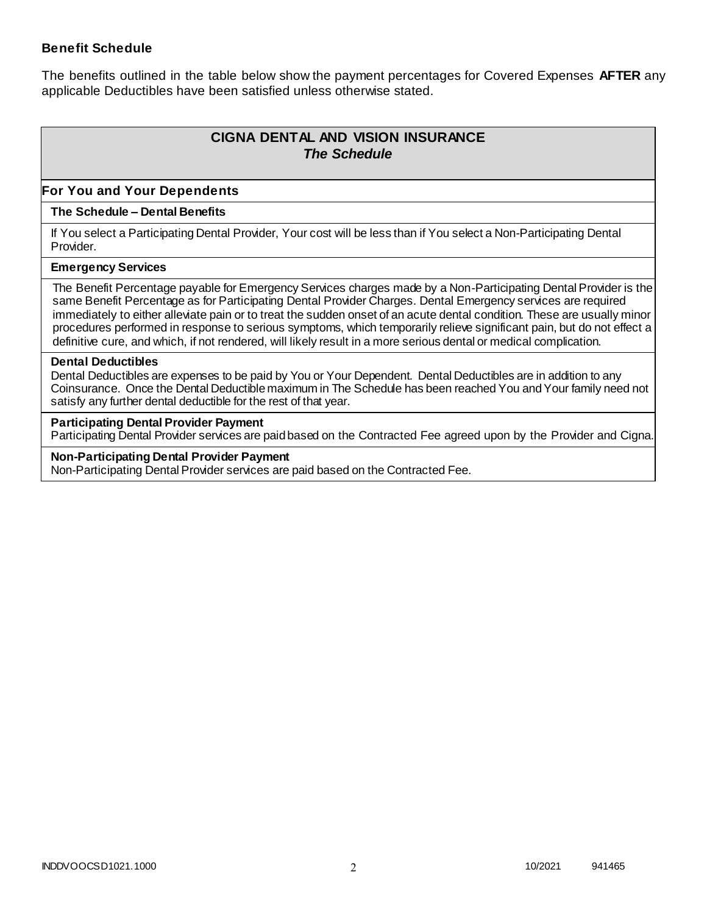### **Benefit Schedule**

The benefits outlined in the table below show the payment percentages for Covered Expenses **AFTER** any applicable Deductibles have been satisfied unless otherwise stated.

# **CIGNA DENTAL AND VISION INSURANCE** *The Schedule*

### **For You and Your Dependents**

### **The Schedule – Dental Benefits**

If You select a Participating Dental Provider, Your cost will be less than if You select a Non-Participating Dental Provider.

#### **Emergency Services**

The Benefit Percentage payable for Emergency Services charges made by a Non-Participating Dental Provider is the same Benefit Percentage as for Participating Dental Provider Charges. Dental Emergency services are required immediately to either alleviate pain or to treat the sudden onset of an acute dental condition. These are usually minor procedures performed in response to serious symptoms, which temporarily relieve significant pain, but do not effect a definitive cure, and which, if not rendered, will likely result in a more serious dental or medical complication.

#### **Dental Deductibles**

Dental Deductibles are expenses to be paid by You or Your Dependent. Dental Deductibles are in addition to any Coinsurance. Once the Dental Deductible maximum in The Schedule has been reached You and Your family need not satisfy any further dental deductible for the rest of that year.

#### **Participating Dental Provider Payment**

Participating Dental Provider services are paid based on the Contracted Fee agreed upon by the Provider and Cigna.

**Non-Participating Dental Provider Payment** Non-Participating Dental Provider services are paid based on the Contracted Fee.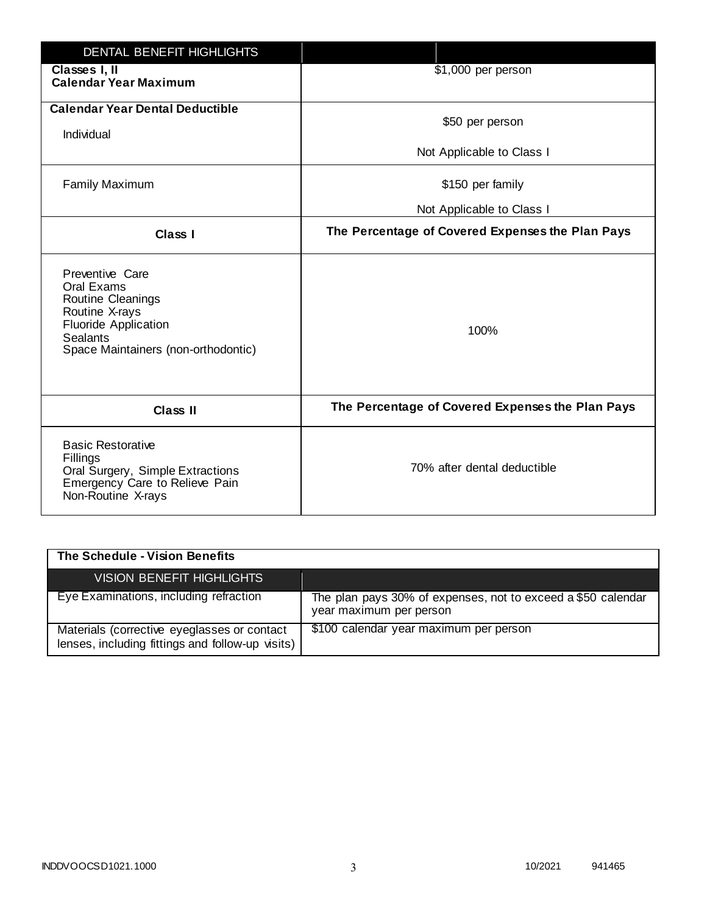| <b>DENTAL BENEFIT HIGHLIGHTS</b>                                                                                                                              |                                                  |
|---------------------------------------------------------------------------------------------------------------------------------------------------------------|--------------------------------------------------|
| Classes I, II<br><b>Calendar Year Maximum</b>                                                                                                                 | \$1,000 per person                               |
| <b>Calendar Year Dental Deductible</b><br>Individual                                                                                                          | \$50 per person                                  |
|                                                                                                                                                               | Not Applicable to Class I                        |
| <b>Family Maximum</b>                                                                                                                                         | \$150 per family                                 |
|                                                                                                                                                               | Not Applicable to Class I                        |
| <b>Class I</b>                                                                                                                                                | The Percentage of Covered Expenses the Plan Pays |
| Preventive Care<br>Oral Exams<br>Routine Cleanings<br>Routine X-rays<br><b>Fluoride Application</b><br><b>Sealants</b><br>Space Maintainers (non-orthodontic) | 100%                                             |
| <b>Class II</b>                                                                                                                                               | The Percentage of Covered Expenses the Plan Pays |
| <b>Basic Restorative</b><br>Fillings<br>Oral Surgery, Simple Extractions<br>Emergency Care to Relieve Pain<br>Non-Routine X-rays                              | 70% after dental deductible                      |

| The Schedule - Vision Benefits                                                                  |                                                                                         |
|-------------------------------------------------------------------------------------------------|-----------------------------------------------------------------------------------------|
| <b>VISION BENEFIT HIGHLIGHTS,</b>                                                               |                                                                                         |
| Eye Examinations, including refraction                                                          | The plan pays 30% of expenses, not to exceed a \$50 calendar<br>year maximum per person |
| Materials (corrective eyeglasses or contact<br>lenses, including fittings and follow-up visits) | \$100 calendar year maximum per person                                                  |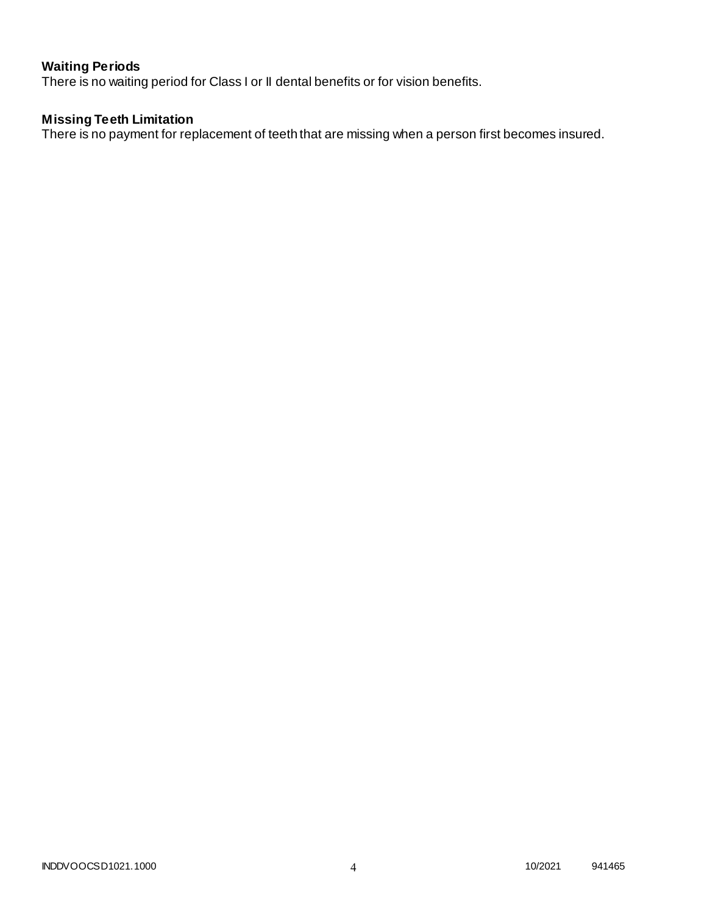# **Waiting Periods**

There is no waiting period for Class I or II dental benefits or for vision benefits.

# **Missing Teeth Limitation**

There is no payment for replacement of teeth that are missing when a person first becomes insured.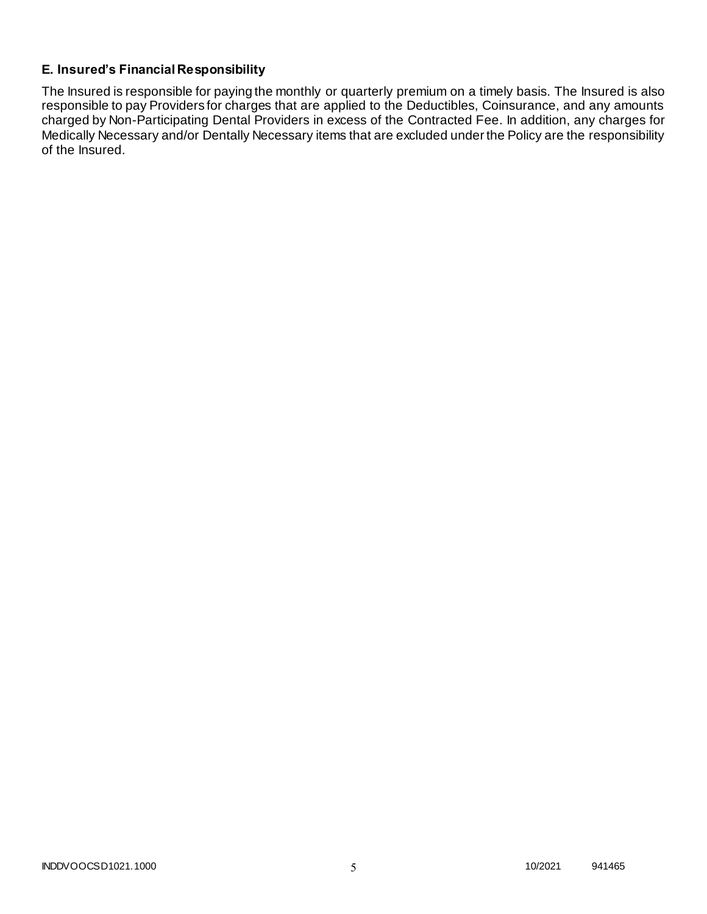# **E. Insured's Financial Responsibility**

The Insured is responsible for paying the monthly or quarterly premium on a timely basis. The Insured is also responsible to pay Providers for charges that are applied to the Deductibles, Coinsurance, and any amounts charged by Non-Participating Dental Providers in excess of the Contracted Fee. In addition, any charges for Medically Necessary and/or Dentally Necessary items that are excluded under the Policy are the responsibility of the Insured.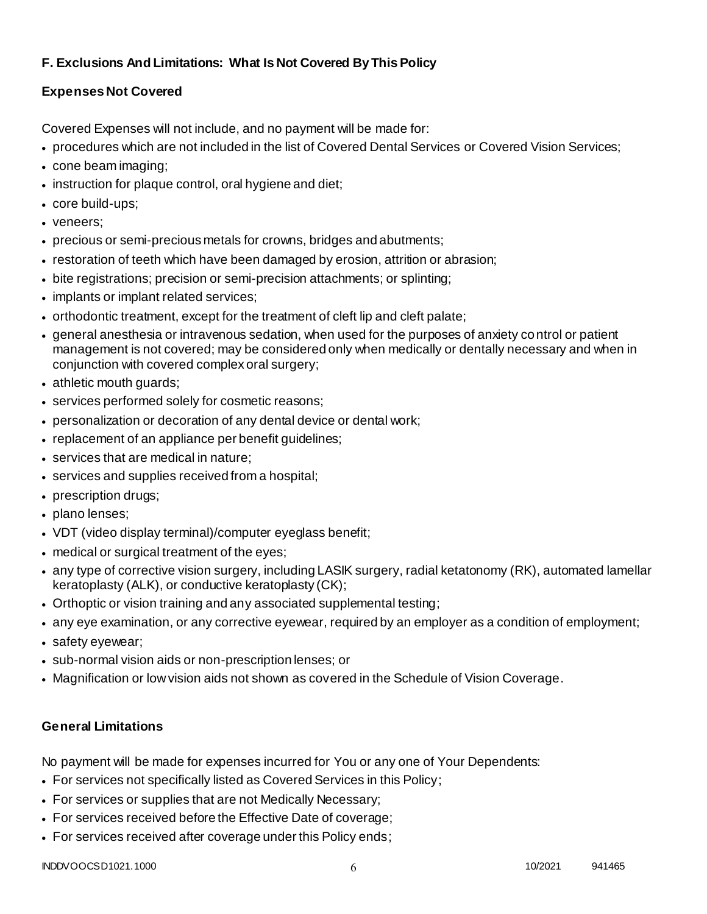# **F. Exclusions And Limitations: What Is Not Covered By This Policy**

# **Expenses Not Covered**

Covered Expenses will not include, and no payment will be made for:

- procedures which are not included in the list of Covered Dental Services or Covered Vision Services;
- cone beam imaging;
- instruction for plaque control, oral hygiene and diet;
- core build-ups;
- veneers;
- precious or semi-precious metals for crowns, bridges and abutments;
- restoration of teeth which have been damaged by erosion, attrition or abrasion;
- bite registrations; precision or semi-precision attachments; or splinting;
- implants or implant related services;
- orthodontic treatment, except for the treatment of cleft lip and cleft palate;
- general anesthesia or intravenous sedation, when used for the purposes of anxiety control or patient management is not covered; may be considered only when medically or dentally necessary and when in conjunction with covered complex oral surgery;
- athletic mouth guards;
- services performed solely for cosmetic reasons;
- personalization or decoration of any dental device or dental work;
- replacement of an appliance per benefit quidelines;
- services that are medical in nature;
- services and supplies received from a hospital;
- prescription drugs;
- plano lenses;
- VDT (video display terminal)/computer eyeglass benefit;
- medical or surgical treatment of the eyes;
- any type of corrective vision surgery, including LASIK surgery, radial ketatonomy (RK), automated lamellar keratoplasty (ALK), or conductive keratoplasty (CK);
- Orthoptic or vision training and any associated supplemental testing;
- any eye examination, or any corrective eyewear, required by an employer as a condition of employment;
- safety eyewear;
- sub-normal vision aids or non-prescription lenses; or
- Magnification or low vision aids not shown as covered in the Schedule of Vision Coverage.

# **General Limitations**

No payment will be made for expenses incurred for You or any one of Your Dependents:

- For services not specifically listed as Covered Services in this Policy;
- For services or supplies that are not Medically Necessary;
- For services received before the Effective Date of coverage;
- For services received after coverage under this Policy ends;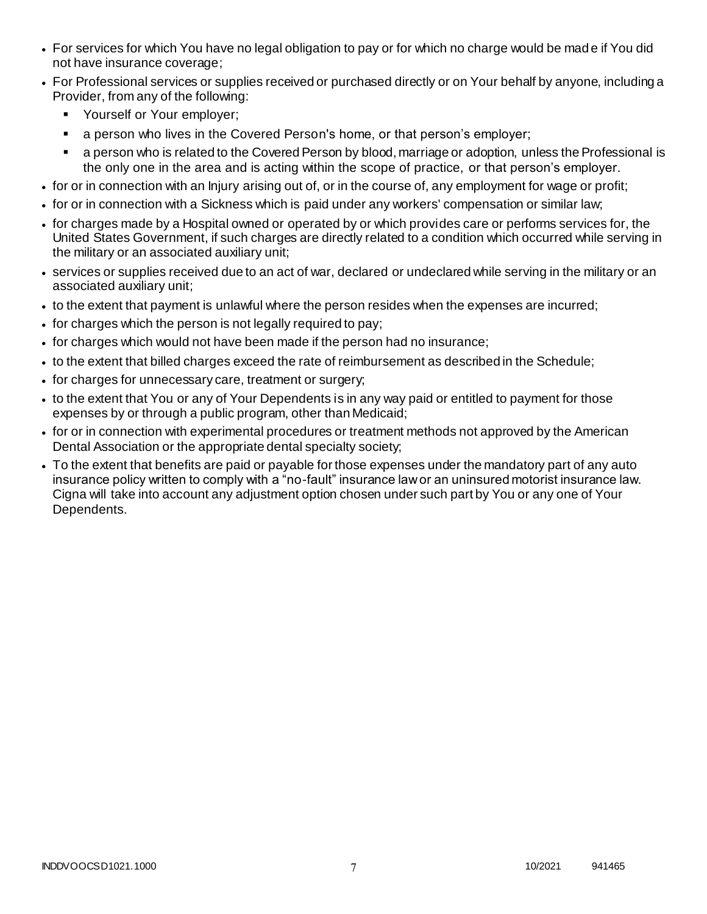- For services for which You have no legal obligation to pay or for which no charge would be mad e if You did not have insurance coverage;
- For Professional services or supplies received or purchased directly or on Your behalf by anyone, including a Provider, from any of the following:
	- **Yourself or Your employer;**
	- a person who lives in the Covered Person's home, or that person's employer;
	- a person who is related to the Covered Person by blood, marriage or adoption, unless the Professional is the only one in the area and is acting within the scope of practice, or that person's employer.
- for or in connection with an Injury arising out of, or in the course of, any employment for wage or profit;
- for or in connection with a Sickness which is paid under any workers' compensation or similar law;
- for charges made by a Hospital owned or operated by or which provides care or performs services for, the United States Government, if such charges are directly related to a condition which occurred while serving in the military or an associated auxiliary unit;
- services or supplies received due to an act of war, declared or undeclared while serving in the military or an associated auxiliary unit;
- to the extent that payment is unlawful where the person resides when the expenses are incurred;
- for charges which the person is not legally required to pay;
- for charges which would not have been made if the person had no insurance;
- to the extent that billed charges exceed the rate of reimbursement as described in the Schedule;
- for charges for unnecessary care, treatment or surgery;
- to the extent that You or any of Your Dependents is in any way paid or entitled to payment for those expenses by or through a public program, other than Medicaid;
- for or in connection with experimental procedures or treatment methods not approved by the American Dental Association or the appropriate dental specialty society;
- To the extent that benefits are paid or payable for those expenses under the mandatory part of any auto insurance policy written to comply with a "no-fault" insurance law or an uninsured motorist insurance law. Cigna will take into account any adjustment option chosen under such part by You or any one of Your Dependents.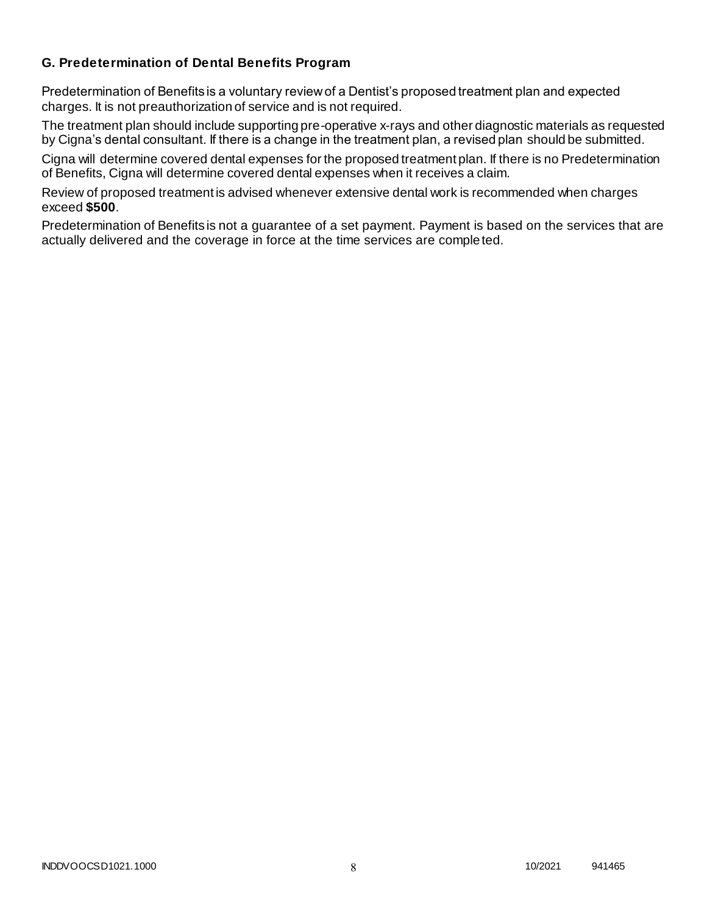# **G. Predetermination of Dental Benefits Program**

Predetermination of Benefits is a voluntary review of a Dentist's proposed treatment plan and expected charges. It is not preauthorization of service and is not required.

The treatment plan should include supporting pre-operative x-rays and other diagnostic materials as requested by Cigna's dental consultant. If there is a change in the treatment plan, a revised plan should be submitted.

Cigna will determine covered dental expenses for the proposed treatment plan. If there is no Predetermination of Benefits, Cigna will determine covered dental expenses when it receives a claim.

Review of proposed treatment is advised whenever extensive dental work is recommended when charges exceed **\$500**.

Predetermination of Benefits is not a guarantee of a set payment. Payment is based on the services that are actually delivered and the coverage in force at the time services are completed.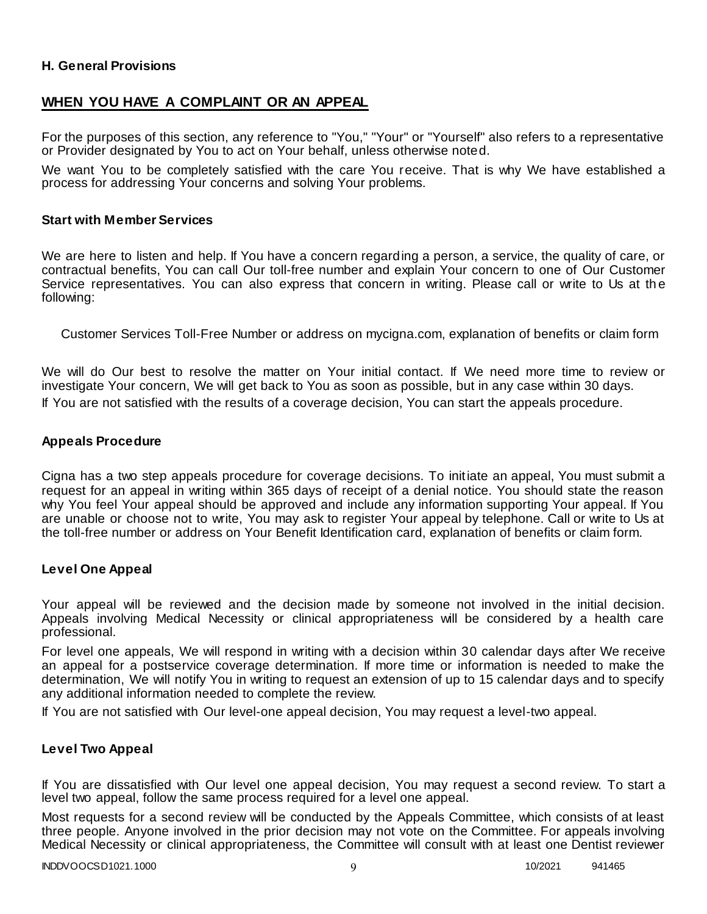### **H. General Provisions**

# **WHEN YOU HAVE A COMPLAINT OR AN APPEAL**

For the purposes of this section, any reference to "You," "Your" or "Yourself" also refers to a representative or Provider designated by You to act on Your behalf, unless otherwise noted.

We want You to be completely satisfied with the care You receive. That is why We have established a process for addressing Your concerns and solving Your problems.

### **Start with Member Services**

We are here to listen and help. If You have a concern regarding a person, a service, the quality of care, or contractual benefits, You can call Our toll-free number and explain Your concern to one of Our Customer Service representatives. You can also express that concern in writing. Please call or write to Us at the following:

Customer Services Toll-Free Number or address on mycigna.com, explanation of benefits or claim form

We will do Our best to resolve the matter on Your initial contact. If We need more time to review or investigate Your concern, We will get back to You as soon as possible, but in any case within 30 days. If You are not satisfied with the results of a coverage decision, You can start the appeals procedure.

### **Appeals Procedure**

Cigna has a two step appeals procedure for coverage decisions. To initiate an appeal, You must submit a request for an appeal in writing within 365 days of receipt of a denial notice. You should state the reason why You feel Your appeal should be approved and include any information supporting Your appeal. If You are unable or choose not to write, You may ask to register Your appeal by telephone. Call or write to Us at the toll-free number or address on Your Benefit Identification card, explanation of benefits or claim form.

### **Level One Appeal**

Your appeal will be reviewed and the decision made by someone not involved in the initial decision. Appeals involving Medical Necessity or clinical appropriateness will be considered by a health care professional.

For level one appeals, We will respond in writing with a decision within 30 calendar days after We receive an appeal for a postservice coverage determination. If more time or information is needed to make the determination, We will notify You in writing to request an extension of up to 15 calendar days and to specify any additional information needed to complete the review.

If You are not satisfied with Our level-one appeal decision, You may request a level-two appeal.

### **Level Two Appeal**

If You are dissatisfied with Our level one appeal decision, You may request a second review. To start a level two appeal, follow the same process required for a level one appeal.

Most requests for a second review will be conducted by the Appeals Committee, which consists of at least three people. Anyone involved in the prior decision may not vote on the Committee. For appeals involving Medical Necessity or clinical appropriateness, the Committee will consult with at least one Dentist reviewer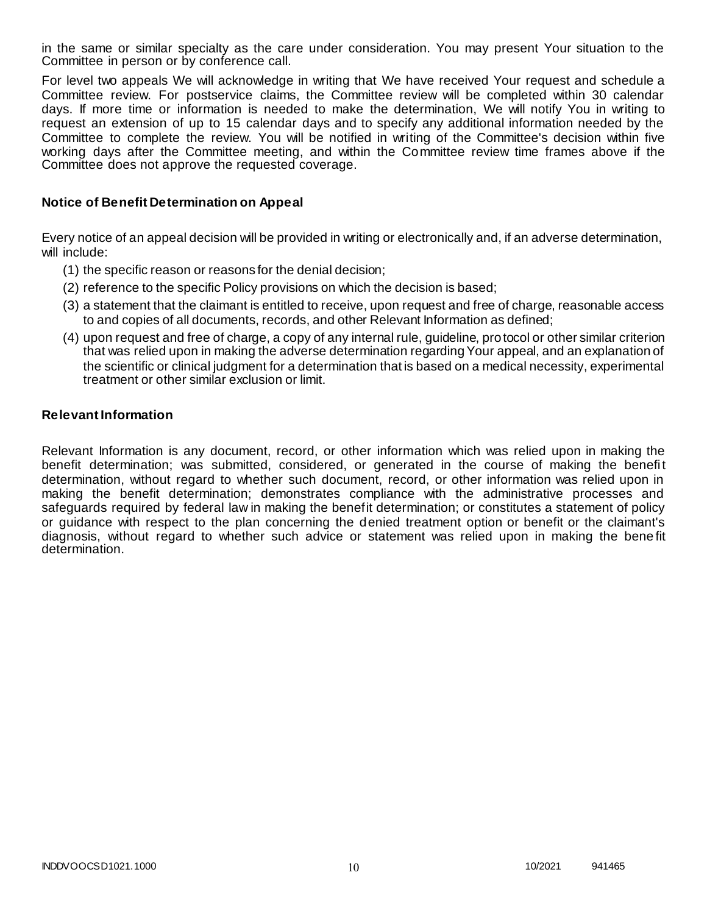in the same or similar specialty as the care under consideration. You may present Your situation to the Committee in person or by conference call.

For level two appeals We will acknowledge in writing that We have received Your request and schedule a Committee review. For postservice claims, the Committee review will be completed within 30 calendar days. If more time or information is needed to make the determination, We will notify You in writing to request an extension of up to 15 calendar days and to specify any additional information needed by the Committee to complete the review. You will be notified in writing of the Committee's decision within five working days after the Committee meeting, and within the Committee review time frames above if the Committee does not approve the requested coverage.

### **Notice of Benefit Determination on Appeal**

Every notice of an appeal decision will be provided in writing or electronically and, if an adverse determination, will include:

- (1) the specific reason or reasons for the denial decision;
- (2) reference to the specific Policy provisions on which the decision is based;
- (3) a statement that the claimant is entitled to receive, upon request and free of charge, reasonable access to and copies of all documents, records, and other Relevant Information as defined;
- (4) upon request and free of charge, a copy of any internal rule, guideline, protocol or other similar criterion that was relied upon in making the adverse determination regarding Your appeal, and an explanation of the scientific or clinical judgment for a determination that is based on a medical necessity, experimental treatment or other similar exclusion or limit.

### **Relevant Information**

Relevant Information is any document, record, or other information which was relied upon in making the benefit determination; was submitted, considered, or generated in the course of making the benefit determination, without regard to whether such document, record, or other information was relied upon in making the benefit determination; demonstrates compliance with the administrative processes and safeguards required by federal law in making the benefit determination; or constitutes a statement of policy or guidance with respect to the plan concerning the denied treatment option or benefit or the claimant's diagnosis, without regard to whether such advice or statement was relied upon in making the bene fit determination.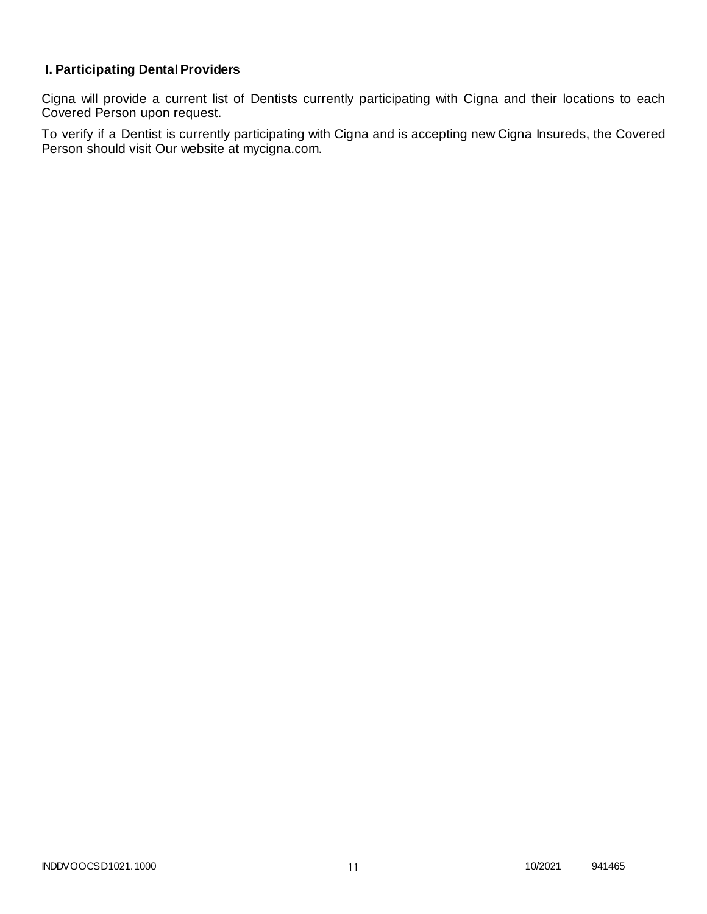# **I. Participating Dental Providers**

Cigna will provide a current list of Dentists currently participating with Cigna and their locations to each Covered Person upon request.

To verify if a Dentist is currently participating with Cigna and is accepting new Cigna Insureds, the Covered Person should visit Our website at mycigna.com.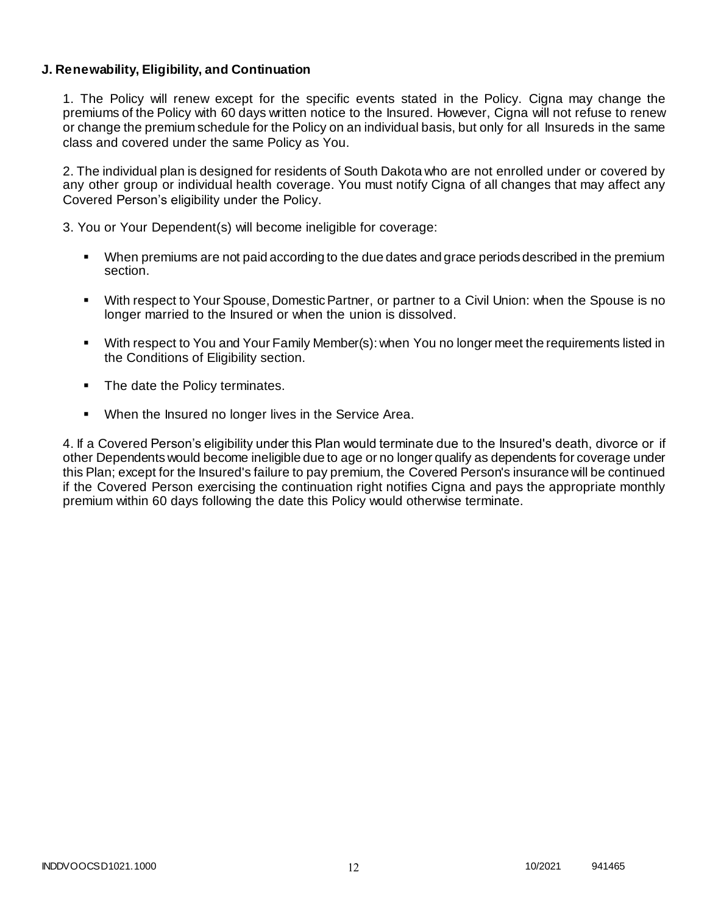### **J. Renewability, Eligibility, and Continuation**

1. The Policy will renew except for the specific events stated in the Policy. Cigna may change the premiums of the Policy with 60 days written notice to the Insured. However, Cigna will not refuse to renew or change the premium schedule for the Policy on an individual basis, but only for all Insureds in the same class and covered under the same Policy as You.

2. The individual plan is designed for residents of South Dakota who are not enrolled under or covered by any other group or individual health coverage. You must notify Cigna of all changes that may affect any Covered Person's eligibility under the Policy.

3. You or Your Dependent(s) will become ineligible for coverage:

- When premiums are not paid according to the due dates and grace periods described in the premium section.
- With respect to Your Spouse, Domestic Partner, or partner to a Civil Union: when the Spouse is no longer married to the Insured or when the union is dissolved.
- With respect to You and Your Family Member(s): when You no longer meet the requirements listed in the Conditions of Eligibility section.
- The date the Policy terminates.
- When the Insured no longer lives in the Service Area.

4. If a Covered Person's eligibility under this Plan would terminate due to the Insured's death, divorce or if other Dependents would become ineligible due to age or no longer qualify as dependents for coverage under this Plan; except for the Insured's failure to pay premium, the Covered Person's insurance will be continued if the Covered Person exercising the continuation right notifies Cigna and pays the appropriate monthly premium within 60 days following the date this Policy would otherwise terminate.